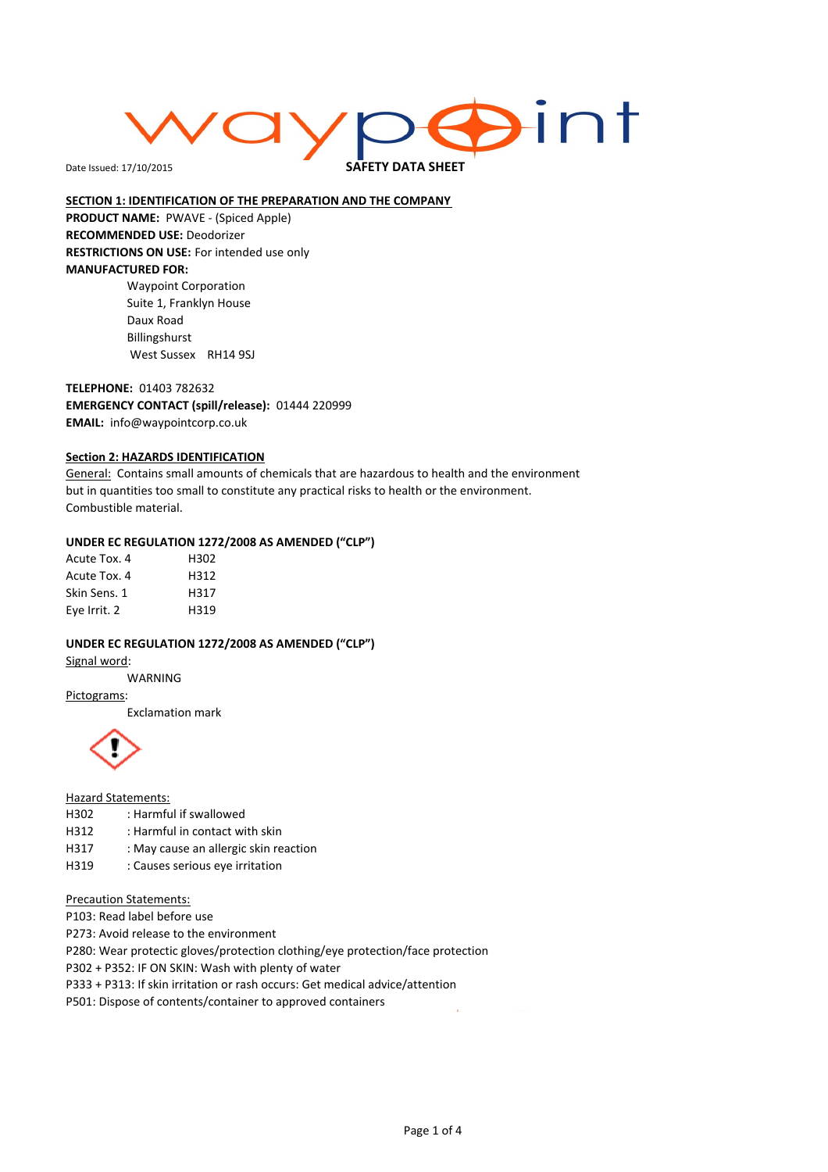# **Aint**

Date Issued: 17/10/2015

SAFETY DATA SHEET

#### SECTION 1: IDENTIFICATION OF THE PREPARATION AND THE COMPANY

PRODUCT NAME: PWAVE - (Spiced Apple) RECOMMENDED USE: Deodorizer RESTRICTIONS ON USE: For intended use only MANUFACTURED FOR: Waypoint Corporation

Suite 1, Franklyn House Daux Road Billingshurst West Sussex RH14 9SJ

TELEPHONE: 01403 782632 EMERGENCY CONTACT (spill/release): 01444 220999 EMAIL: info@waypointcorp.co.uk

#### **Section 2: HAZARDS IDENTIFICATION**

General: Contains small amounts of chemicals that are hazardous to health and the environment but in quantities too small to constitute any practical risks to health or the environment. Combustible material.

#### UNDER EC REGULATION 1272/2008 AS AMENDED ("CLP")

| Acute Tox. 4 | H302 |
|--------------|------|
| Acute Tox. 4 | H312 |
| Skin Sens. 1 | H317 |
| Eye Irrit. 2 | H319 |

#### UNDER EC REGULATION 1272/2008 AS AMENDED ("CLP")

Signal word:

WARNING

#### Pictograms:

Exclamation mark



#### Hazard Statements:

- H302 : Harmful if swallowed
- H312 : Harmful in contact with skin
- H317 : May cause an allergic skin reaction
- H319 : Causes serious eye irritation

#### Precaution Statements:

P103: Read label before use

P273: Avoid release to the environment

P280: Wear protectic gloves/protection clothing/eye protection/face protection

P302 + P352: IF ON SKIN: Wash with plenty of water

P333 + P313: If skin irritation or rash occurs: Get medical advice/attention

P501: Dispose of contents/container to approved containers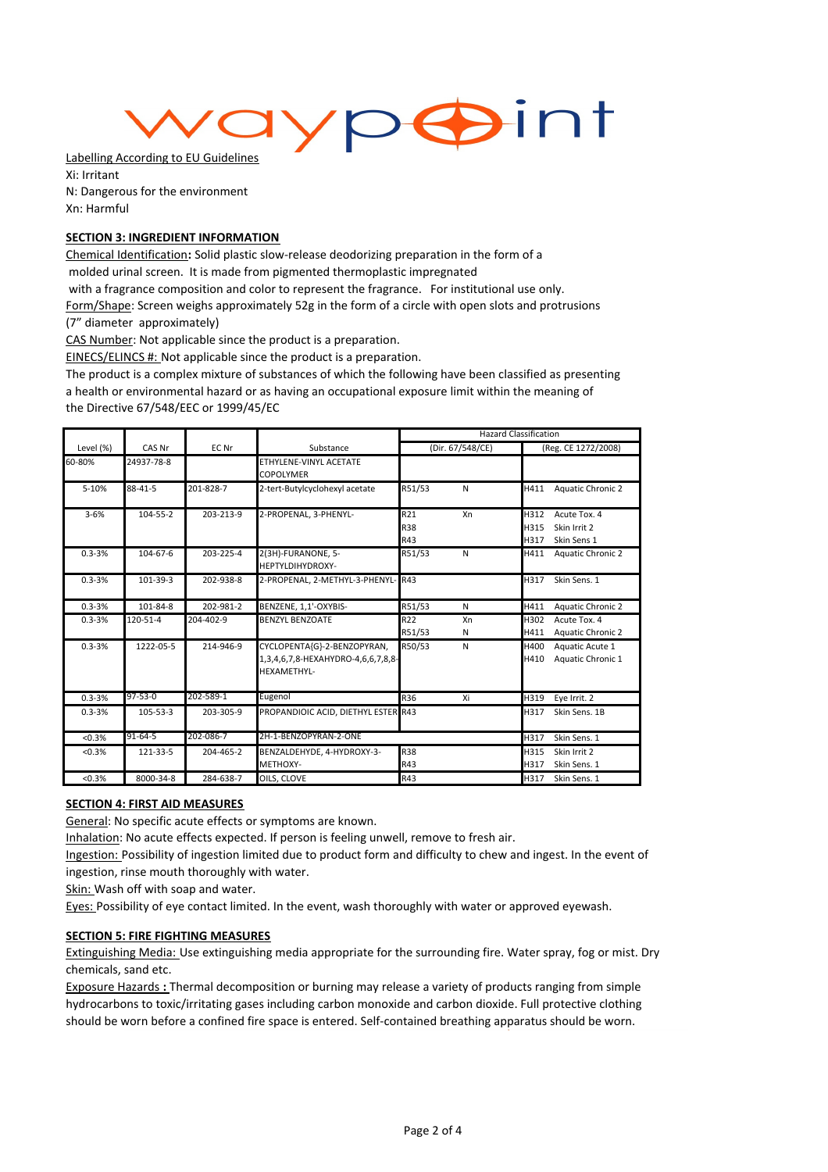## ypoint

Labelling According to EU Guidelines Xi: Irritant N: Dangerous for the environment Xn: Harmful

#### SECTION 3: INGREDIENT INFORMATION

Chemical Identification: Solid plastic slow-release deodorizing preparation in the form of a molded urinal screen. It is made from pigmented thermoplastic impregnated

with a fragrance composition and color to represent the fragrance. For institutional use only.

Form/Shape: Screen weighs approximately 52g in the form of a circle with open slots and protrusions

(7" diameter approximately)

CAS Number: Not applicable since the product is a preparation.

EINECS/ELINCS #: Not applicable since the product is a preparation.

The product is a complex mixture of substances of which the following have been classified as presenting a health or environmental hazard or as having an occupational exposure limit within the meaning of the Directive 67/548/EEC or 1999/45/EC

|            |            |           |                                                                                  | <b>Hazard Classification</b> |              |                      |                                             |
|------------|------------|-----------|----------------------------------------------------------------------------------|------------------------------|--------------|----------------------|---------------------------------------------|
| Level (%)  | CAS Nr     | EC Nr     | Substance                                                                        | (Dir. 67/548/CE)             |              | (Reg. CE 1272/2008)  |                                             |
| 60-80%     | 24937-78-8 |           | ETHYLENE-VINYL ACETATE<br><b>COPOLYMER</b>                                       |                              |              |                      |                                             |
| 5-10%      | 88-41-5    | 201-828-7 | 2-tert-Butylcyclohexyl acetate                                                   | R51/53                       | $\mathsf{N}$ | H411                 | <b>Aquatic Chronic 2</b>                    |
| $3 - 6%$   | 104-55-2   | 203-213-9 | 2-PROPENAL, 3-PHENYL-                                                            | R21<br><b>R38</b><br>R43     | Xn           | H312<br>H315<br>H317 | Acute Tox. 4<br>Skin Irrit 2<br>Skin Sens 1 |
| $0.3 - 3%$ | 104-67-6   | 203-225-4 | 2(3H)-FURANONE, 5-<br>HEPTYLDIHYDROXY-                                           | R51/53                       | $\mathsf{N}$ | H411                 | Aquatic Chronic 2                           |
| $0.3 - 3%$ | 101-39-3   | 202-938-8 | 2-PROPENAL, 2-METHYL-3-PHENYL-R43                                                |                              |              | H317                 | Skin Sens, 1                                |
| $0.3 - 3%$ | 101-84-8   | 202-981-2 | BENZENE, 1,1'-OXYBIS-                                                            | R51/53                       | N            | H411                 | <b>Aquatic Chronic 2</b>                    |
| $0.3 - 3%$ | 120-51-4   | 204-402-9 | <b>BENZYL BENZOATE</b>                                                           | R22<br>R51/53                | Xn<br>N      | H302<br>H411         | Acute Tox. 4<br><b>Aquatic Chronic 2</b>    |
| $0.3 - 3%$ | 1222-05-5  | 214-946-9 | CYCLOPENTA{G}-2-BENZOPYRAN,<br>1,3,4,6,7,8-HEXAHYDRO-4,6,6,7,8,8-<br>HEXAMETHYL- | R50/53                       | N            | H400<br>H410         | Aquatic Acute 1<br>Aquatic Chronic 1        |
| $0.3 - 3%$ | 97-53-0    | 202-589-1 | Eugenol                                                                          | R36                          | Xi           | H319                 | Eye Irrit. 2                                |
| $0.3 - 3%$ | 105-53-3   | 203-305-9 | PROPANDIOIC ACID, DIETHYL ESTER R43                                              |                              |              | H317                 | Skin Sens. 1B                               |
| < 0.3%     | 91-64-5    | 202-086-7 | 2H-1-BENZOPYRAN-2-ONE                                                            |                              |              | H317                 | Skin Sens. 1                                |
| < 0.3%     | 121-33-5   | 204-465-2 | BENZALDEHYDE, 4-HYDROXY-3-<br>METHOXY-                                           | <b>R38</b><br>R43            |              | H315<br>H317         | Skin Irrit 2<br>Skin Sens. 1                |
| < 0.3%     | 8000-34-8  | 284-638-7 | OILS. CLOVE                                                                      | R43                          |              | H317                 | Skin Sens. 1                                |

#### SECTION 4: FIRST AID MEASURES

General: No specific acute effects or symptoms are known.

Inhalation: No acute effects expected. If person is feeling unwell, remove to fresh air.

Ingestion: Possibility of ingestion limited due to product form and difficulty to chew and ingest. In the event of ingestion, rinse mouth thoroughly with water.

Skin: Wash off with soap and water.

Eyes: Possibility of eye contact limited. In the event, wash thoroughly with water or approved eyewash.

#### SECTION 5: FIRE FIGHTING MEASURES

Extinguishing Media: Use extinguishing media appropriate for the surrounding fire. Water spray, fog or mist. Dry chemicals, sand etc.

Exposure Hazards : Thermal decomposition or burning may release a variety of products ranging from simple hydrocarbons to toxic/irritating gases including carbon monoxide and carbon dioxide. Full protective clothing should be worn before a confined fire space is entered. Self-contained breathing apparatus should be worn.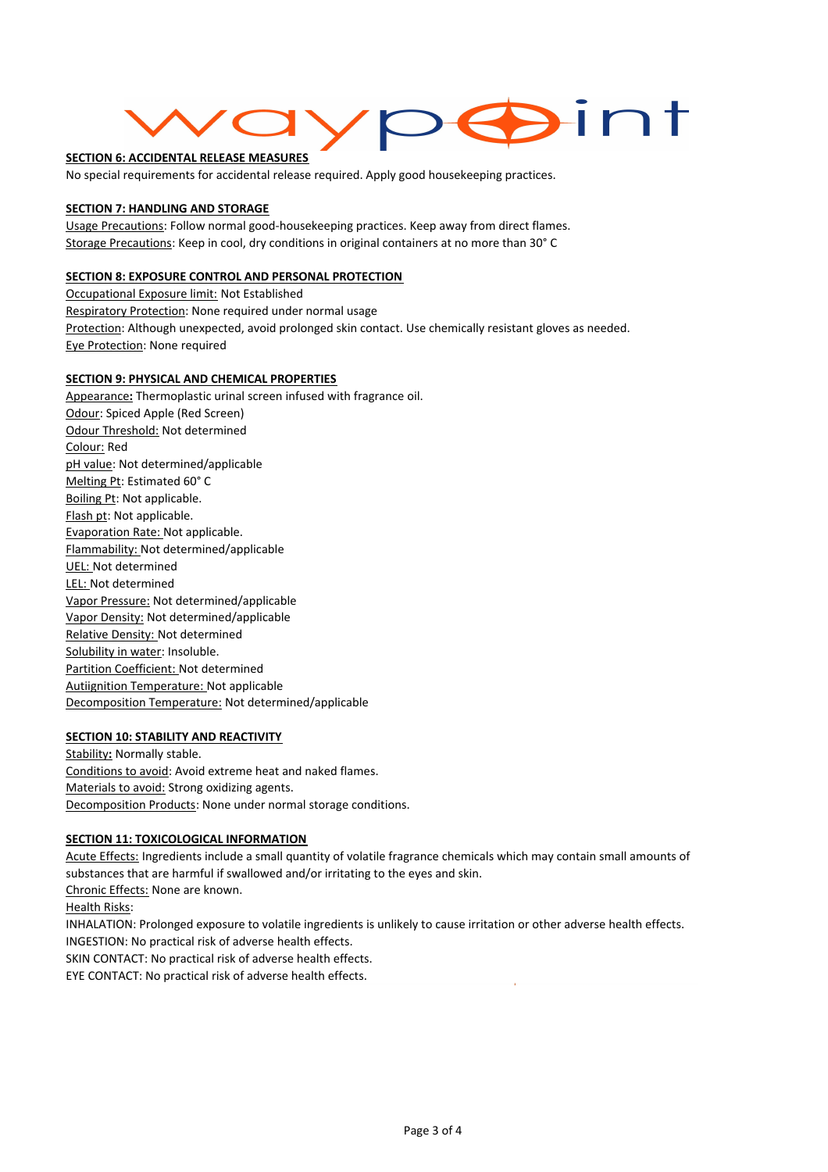### $\sum_{i=1}^{n}$

#### SECTION 6: ACCIDENTAL RELEASE MEASURES

No special requirements for accidental release required. Apply good housekeeping practices.

#### SECTION 7: HANDLING AND STORAGE

Usage Precautions: Follow normal good-housekeeping practices. Keep away from direct flames. Storage Precautions: Keep in cool, dry conditions in original containers at no more than 30° C

#### SECTION 8: EXPOSURE CONTROL AND PERSONAL PROTECTION

Occupational Exposure limit: Not Established Respiratory Protection: None required under normal usage Protection: Although unexpected, avoid prolonged skin contact. Use chemically resistant gloves as needed. Eye Protection: None required

#### SECTION 9: PHYSICAL AND CHEMICAL PROPERTIES

Appearance: Thermoplastic urinal screen infused with fragrance oil. Odour: Spiced Apple (Red Screen) Odour Threshold: Not determined Colour: Red pH value: Not determined/applicable Melting Pt: Estimated 60° C Boiling Pt: Not applicable. Flash pt: Not applicable. Evaporation Rate: Not applicable. Flammability: Not determined/applicable UEL: Not determined LEL: Not determined Vapor Pressure: Not determined/applicable Vapor Density: Not determined/applicable Relative Density: Not determined Solubility in water: Insoluble. Partition Coefficient: Not determined Autiignition Temperature: Not applicable Decomposition Temperature: Not determined/applicable

#### SECTION 10: STABILITY AND REACTIVITY

Stability: Normally stable. Conditions to avoid: Avoid extreme heat and naked flames. Materials to avoid: Strong oxidizing agents. Decomposition Products: None under normal storage conditions.

#### **SECTION 11: TOXICOLOGICAL INFORMATION**

Acute Effects: Ingredients include a small quantity of volatile fragrance chemicals which may contain small amounts of substances that are harmful if swallowed and/or irritating to the eyes and skin. Chronic Effects: None are known. Health Risks: INHALATION: Prolonged exposure to volatile ingredients is unlikely to cause irritation or other adverse health effects. INGESTION: No practical risk of adverse health effects. SKIN CONTACT: No practical risk of adverse health effects.

EYE CONTACT: No practical risk of adverse health effects.